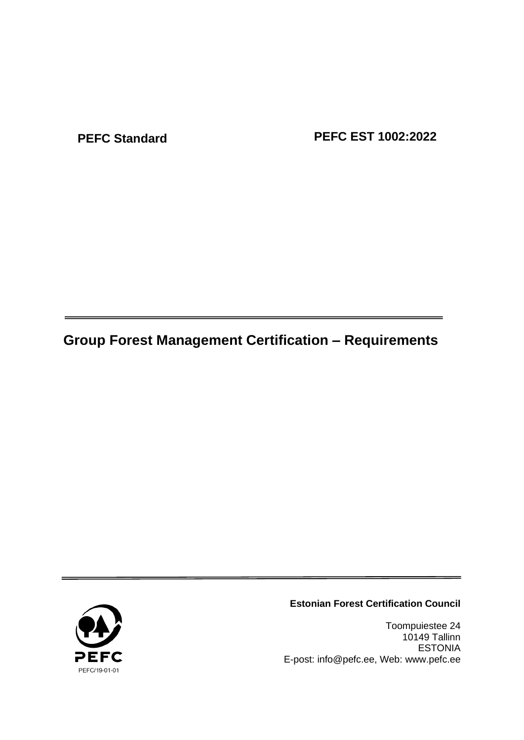**PEFC Standard PEFC EST 1002:2022**

# **Group Forest Management Certification – Requirements**



# **Estonian Forest Certification Council**

Toompuiestee 24 10149 Tallinn ESTONIA E-post: info@pefc.ee, Web: www.pefc.ee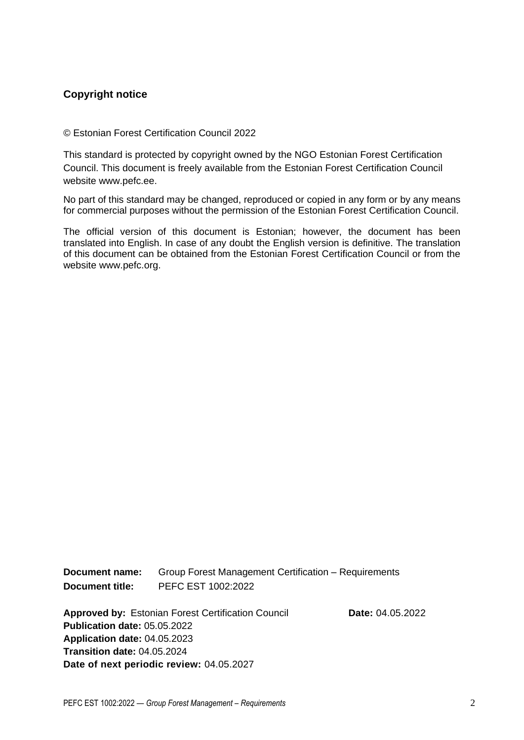# **Copyright notice**

© Estonian Forest Certification Council 2022

This standard is protected by copyright owned by the NGO Estonian Forest Certification Council. This document is freely available from the Estonian Forest Certification Council website [www.pefc.ee.](http://www.pefc.ee/)

No part of this standard may be changed, reproduced or copied in any form or by any means for commercial purposes without the permission of the Estonian Forest Certification Council.

The official version of this document is Estonian; however, the document has been translated into English. In case of any doubt the English version is definitive. The translation of this document can be obtained from the Estonian Forest Certification Council or from the website www.pefc.org.

**Document name:** Group Forest Management Certification – Requirements **Document title:** PEFC EST 1002:2022

**Approved by:** Estonian Forest Certification Council **Date:** 04.05.2022 **Publication date:** 05.05.2022 **Application date:** 04.05.2023 **Transition date:** 04.05.2024 **Date of next periodic review:** 04.05.2027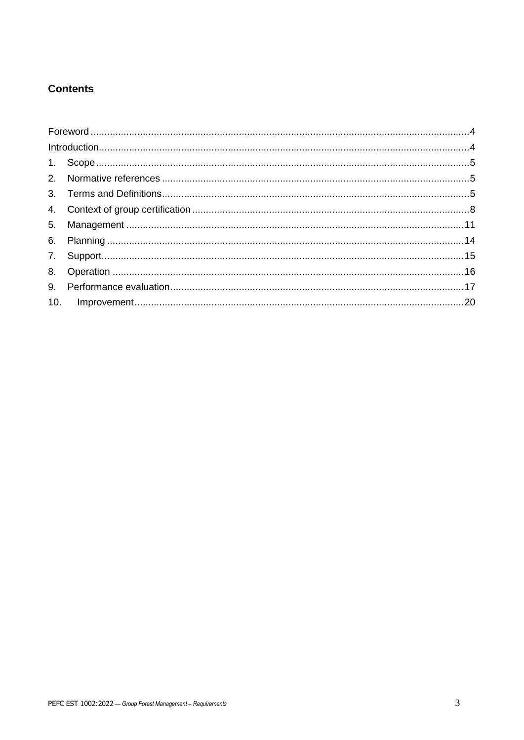# **Contents**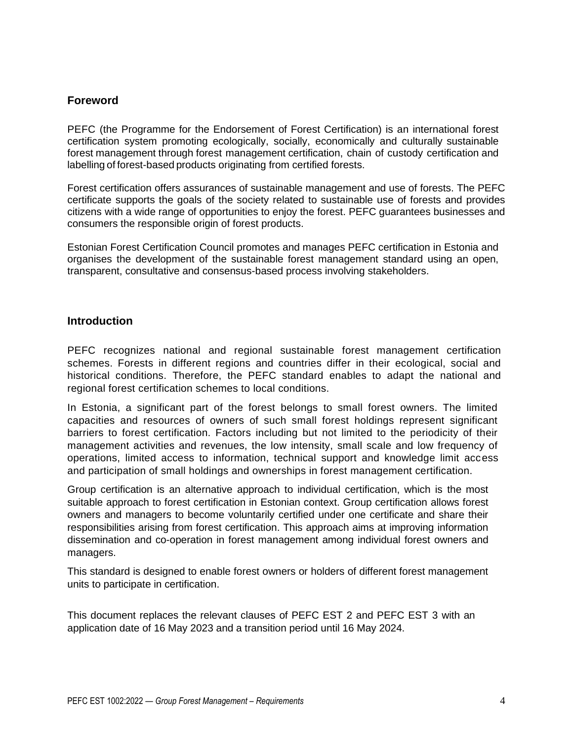# **Foreword**

PEFC (the Programme for the Endorsement of Forest Certification) is an international forest certification system promoting ecologically, socially, economically and culturally sustainable forest management through forest management certification, chain of custody certification and labelling of forest-based products originating from certified forests.

Forest certification offers assurances of sustainable management and use of forests. The PEFC certificate supports the goals of the society related to sustainable use of forests and provides citizens with a wide range of opportunities to enjoy the forest. PEFC guarantees businesses and consumers the responsible origin of forest products.

Estonian Forest Certification Council promotes and manages PEFC certification in Estonia and organises the development of the sustainable forest management standard using an open, transparent, consultative and consensus-based process involving stakeholders.

# **Introduction**

PEFC recognizes national and regional sustainable forest management certification schemes. Forests in different regions and countries differ in their ecological, social and historical conditions. Therefore, the PEFC standard enables to adapt the national and regional forest certification schemes to local conditions.

In Estonia, a significant part of the forest belongs to small forest owners. The limited capacities and resources of owners of such small forest holdings represent significant barriers to forest certification. Factors including but not limited to the periodicity of their management activities and revenues, the low intensity, small scale and low frequency of operations, limited access to information, technical support and knowledge limit access and participation of small holdings and ownerships in forest management certification.

Group certification is an alternative approach to individual certification, which is the most suitable approach to forest certification in Estonian context. Group certification allows forest owners and managers to become voluntarily certified under one certificate and share their responsibilities arising from forest certification. This approach aims at improving information dissemination and co-operation in forest management among individual forest owners and managers.

This standard is designed to enable forest owners or holders of different forest management units to participate in certification.

This document replaces the relevant clauses of PEFC EST 2 and PEFC EST 3 with an application date of 16 May 2023 and a transition period until 16 May 2024.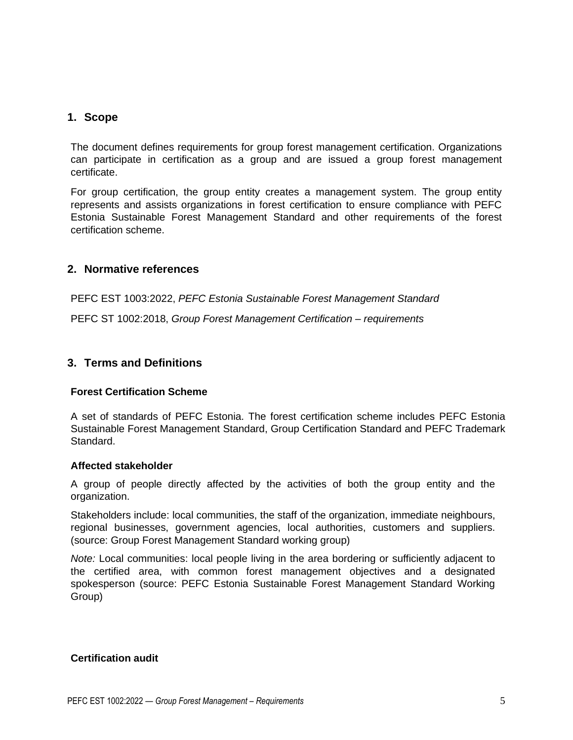# **1. Scope**

The document defines requirements for group forest management certification. Organizations can participate in certification as a group and are issued a group forest management certificate.

For group certification, the group entity creates a management system. The group entity represents and assists organizations in forest certification to ensure compliance with PEFC Estonia Sustainable Forest Management Standard and other requirements of the forest certification scheme.

# **2. Normative references**

PEFC EST 1003:2022, *PEFC Estonia Sustainable Forest Management Standard*

PEFC ST 1002:2018, *Group Forest Management Certification – requirements*

# **3. Terms and Definitions**

#### **Forest Certification Scheme**

A set of standards of PEFC Estonia. The forest certification scheme includes PEFC Estonia Sustainable Forest Management Standard, Group Certification Standard and PEFC Trademark Standard.

#### **Affected stakeholder**

A group of people directly affected by the activities of both the group entity and the organization.

Stakeholders include: local communities, the staff of the organization, immediate neighbours, regional businesses, government agencies, local authorities, customers and suppliers. (source: Group Forest Management Standard working group)

*Note:* Local communities: local people living in the area bordering or sufficiently adjacent to the certified area, with common forest management objectives and a designated spokesperson (source: PEFC Estonia Sustainable Forest Management Standard Working Group)

#### **Certification audit**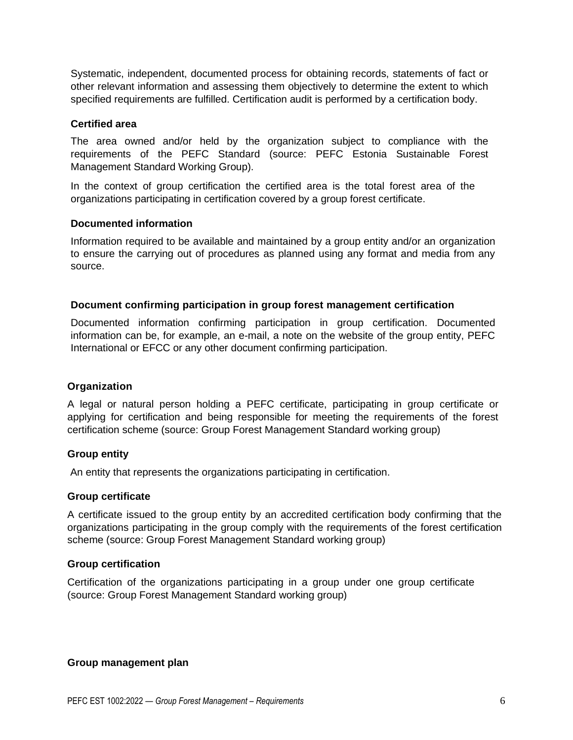Systematic, independent, documented process for obtaining records, statements of fact or other relevant information and assessing them objectively to determine the extent to which specified requirements are fulfilled. Certification audit is performed by a certification body.

#### **Certified area**

The area owned and/or held by the organization subject to compliance with the requirements of the PEFC Standard (source: PEFC Estonia Sustainable Forest Management Standard Working Group).

In the context of group certification the certified area is the total forest area of the organizations participating in certification covered by a group forest certificate.

# **Documented information**

Information required to be available and maintained by a group entity and/or an organization to ensure the carrying out of procedures as planned using any format and media from any source.

#### **Document confirming participation in group forest management certification**

Documented information confirming participation in group certification. Documented information can be, for example, an e-mail, a note on the website of the group entity, PEFC International or EFCC or any other document confirming participation.

# **Organization**

A legal or natural person holding a PEFC certificate, participating in group certificate or applying for certification and being responsible for meeting the requirements of the forest certification scheme (source: Group Forest Management Standard working group)

# **Group entity**

An entity that represents the organizations participating in certification.

#### **Group certificate**

A certificate issued to the group entity by an accredited certification body confirming that the organizations participating in the group comply with the requirements of the forest certification scheme (source: Group Forest Management Standard working group)

#### **Group certification**

Certification of the organizations participating in a group under one group certificate (source: Group Forest Management Standard working group)

#### **Group management plan**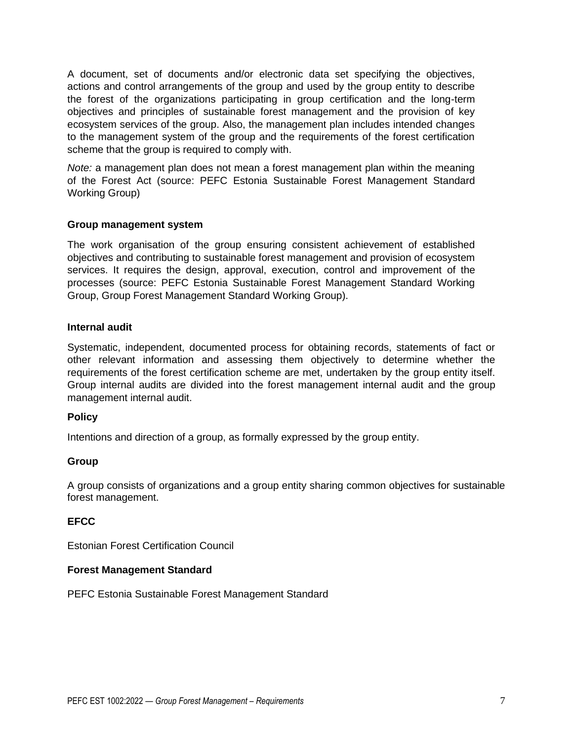A document, set of documents and/or electronic data set specifying the objectives, actions and control arrangements of the group and used by the group entity to describe the forest of the organizations participating in group certification and the long-term objectives and principles of sustainable forest management and the provision of key ecosystem services of the group. Also, the management plan includes intended changes to the management system of the group and the requirements of the forest certification scheme that the group is required to comply with.

*Note:* a management plan does not mean a forest management plan within the meaning of the Forest Act (source: PEFC Estonia Sustainable Forest Management Standard Working Group)

#### **Group management system**

The work organisation of the group ensuring consistent achievement of established objectives and contributing to sustainable forest management and provision of ecosystem services. It requires the design, approval, execution, control and improvement of the processes (source: PEFC Estonia Sustainable Forest Management Standard Working Group, Group Forest Management Standard Working Group).

#### **Internal audit**

Systematic, independent, documented process for obtaining records, statements of fact or other relevant information and assessing them objectively to determine whether the requirements of the forest certification scheme are met, undertaken by the group entity itself. Group internal audits are divided into the forest management internal audit and the group management internal audit.

#### **Policy**

Intentions and direction of a group, as formally expressed by the group entity.

#### **Group**

A group consists of organizations and a group entity sharing common objectives for sustainable forest management.

#### **EFCC**

Estonian Forest Certification Council

# **Forest Management Standard**

PEFC Estonia Sustainable Forest Management Standard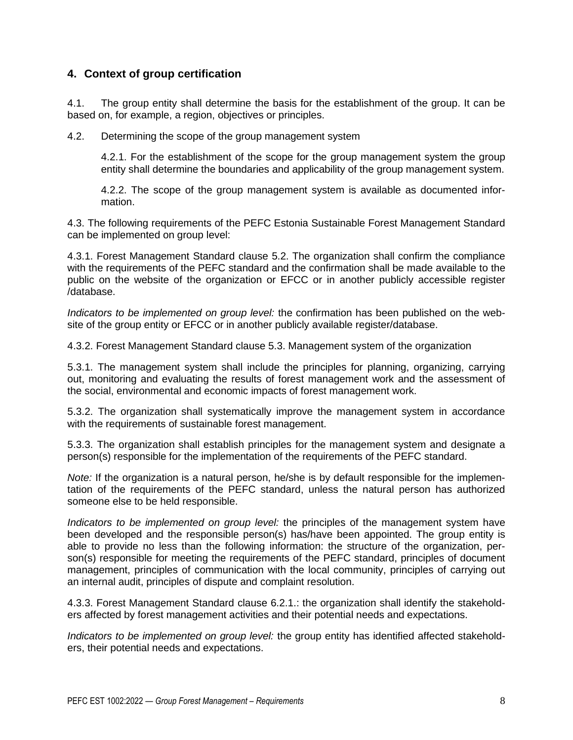# **4. Context of group certification**

4.1. The group entity shall determine the basis for the establishment of the group. It can be based on, for example, a region, objectives or principles.

4.2. Determining the scope of the group management system

4.2.1. For the establishment of the scope for the group management system the group entity shall determine the boundaries and applicability of the group management system.

4.2.2. The scope of the group management system is available as documented information.

4.3. The following requirements of the PEFC Estonia Sustainable Forest Management Standard can be implemented on group level:

4.3.1. Forest Management Standard clause 5.2. The organization shall confirm the compliance with the requirements of the PEFC standard and the confirmation shall be made available to the public on the website of the organization or EFCC or in another publicly accessible register /database.

*Indicators to be implemented on group level:* the confirmation has been published on the website of the group entity or EFCC or in another publicly available register/database.

4.3.2. Forest Management Standard clause 5.3. Management system of the organization

5.3.1. The management system shall include the principles for planning, organizing, carrying out, monitoring and evaluating the results of forest management work and the assessment of the social, environmental and economic impacts of forest management work.

5.3.2. The organization shall systematically improve the management system in accordance with the requirements of sustainable forest management.

5.3.3. The organization shall establish principles for the management system and designate a person(s) responsible for the implementation of the requirements of the PEFC standard.

*Note:* If the organization is a natural person, he/she is by default responsible for the implementation of the requirements of the PEFC standard, unless the natural person has authorized someone else to be held responsible.

*Indicators to be implemented on group level:* the principles of the management system have been developed and the responsible person(s) has/have been appointed. The group entity is able to provide no less than the following information: the structure of the organization, person(s) responsible for meeting the requirements of the PEFC standard, principles of document management, principles of communication with the local community, principles of carrying out an internal audit, principles of dispute and complaint resolution.

4.3.3. Forest Management Standard clause 6.2.1.: the organization shall identify the stakeholders affected by forest management activities and their potential needs and expectations.

*Indicators to be implemented on group level:* the group entity has identified affected stakeholders, their potential needs and expectations.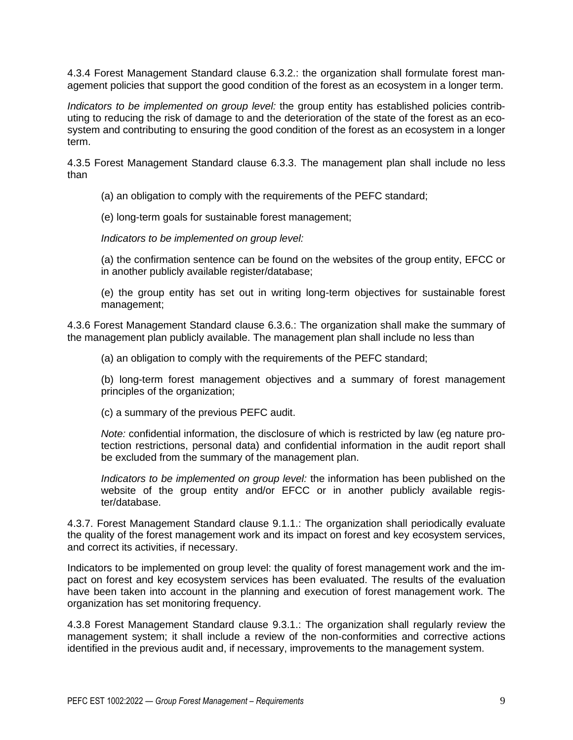4.3.4 Forest Management Standard clause 6.3.2.: the organization shall formulate forest management policies that support the good condition of the forest as an ecosystem in a longer term.

*Indicators to be implemented on group level:* the group entity has established policies contributing to reducing the risk of damage to and the deterioration of the state of the forest as an ecosystem and contributing to ensuring the good condition of the forest as an ecosystem in a longer term.

4.3.5 Forest Management Standard clause 6.3.3. The management plan shall include no less than

(a) an obligation to comply with the requirements of the PEFC standard;

(e) long-term goals for sustainable forest management;

*Indicators to be implemented on group level:*

(a) the confirmation sentence can be found on the websites of the group entity, EFCC or in another publicly available register/database;

(e) the group entity has set out in writing long-term objectives for sustainable forest management;

4.3.6 Forest Management Standard clause 6.3.6.: The organization shall make the summary of the management plan publicly available. The management plan shall include no less than

(a) an obligation to comply with the requirements of the PEFC standard;

(b) long-term forest management objectives and a summary of forest management principles of the organization;

(c) a summary of the previous PEFC audit.

*Note:* confidential information, the disclosure of which is restricted by law (eg nature protection restrictions, personal data) and confidential information in the audit report shall be excluded from the summary of the management plan.

*Indicators to be implemented on group level:* the information has been published on the website of the group entity and/or EFCC or in another publicly available register/database.

4.3.7. Forest Management Standard clause 9.1.1.: The organization shall periodically evaluate the quality of the forest management work and its impact on forest and key ecosystem services, and correct its activities, if necessary.

Indicators to be implemented on group level: the quality of forest management work and the impact on forest and key ecosystem services has been evaluated. The results of the evaluation have been taken into account in the planning and execution of forest management work. The organization has set monitoring frequency.

4.3.8 Forest Management Standard clause 9.3.1.: The organization shall regularly review the management system; it shall include a review of the non-conformities and corrective actions identified in the previous audit and, if necessary, improvements to the management system.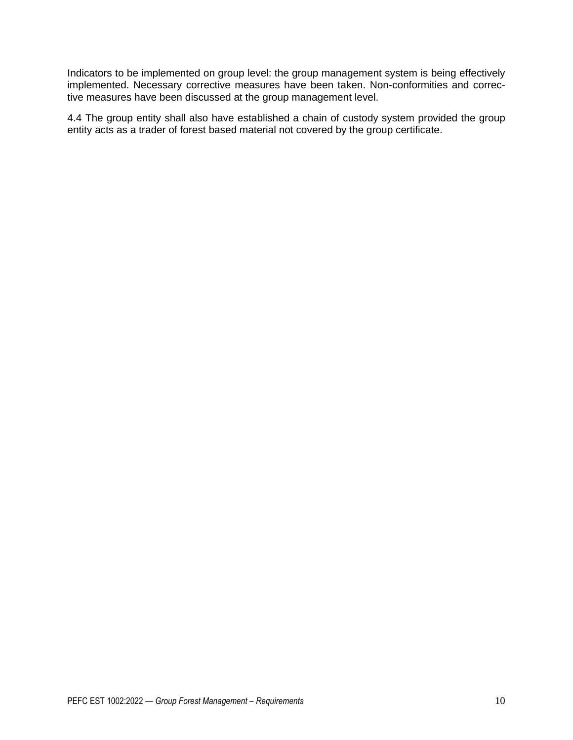Indicators to be implemented on group level: the group management system is being effectively implemented. Necessary corrective measures have been taken. Non-conformities and corrective measures have been discussed at the group management level.

4.4 The group entity shall also have established a chain of custody system provided the group entity acts as a trader of forest based material not covered by the group certificate.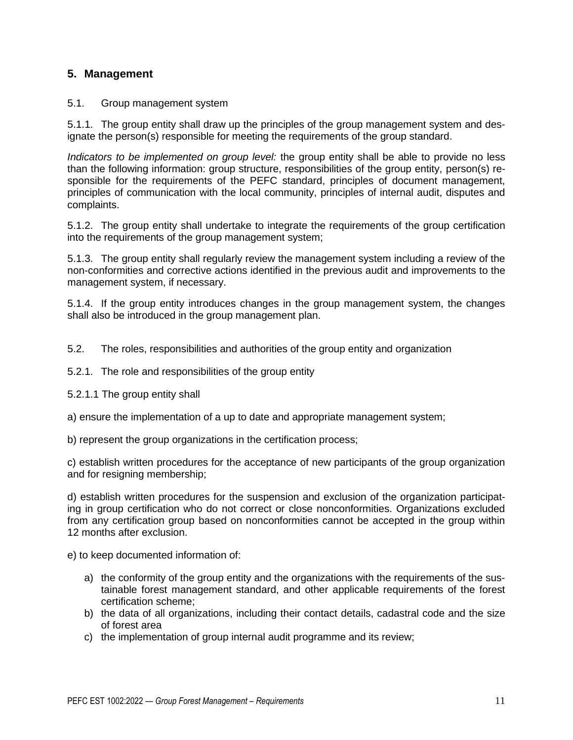# **5. Management**

#### 5.1. Group management system

5.1.1. The group entity shall draw up the principles of the group management system and designate the person(s) responsible for meeting the requirements of the group standard.

*Indicators to be implemented on group level:* the group entity shall be able to provide no less than the following information: group structure, responsibilities of the group entity, person(s) responsible for the requirements of the PEFC standard, principles of document management, principles of communication with the local community, principles of internal audit, disputes and complaints.

5.1.2. The group entity shall undertake to integrate the requirements of the group certification into the requirements of the group management system;

5.1.3. The group entity shall regularly review the management system including a review of the non-conformities and corrective actions identified in the previous audit and improvements to the management system, if necessary.

5.1.4. If the group entity introduces changes in the group management system, the changes shall also be introduced in the group management plan.

- 5.2. The roles, responsibilities and authorities of the group entity and organization
- 5.2.1. The role and responsibilities of the group entity
- 5.2.1.1 The group entity shall

a) ensure the implementation of a up to date and appropriate management system;

b) represent the group organizations in the certification process;

c) establish written procedures for the acceptance of new participants of the group organization and for resigning membership;

d) establish written procedures for the suspension and exclusion of the organization participating in group certification who do not correct or close nonconformities. Organizations excluded from any certification group based on nonconformities cannot be accepted in the group within 12 months after exclusion.

e) to keep documented information of:

- a) the conformity of the group entity and the organizations with the requirements of the sustainable forest management standard, and other applicable requirements of the forest certification scheme;
- b) the data of all organizations, including their contact details, cadastral code and the size of forest area
- c) the implementation of group internal audit programme and its review;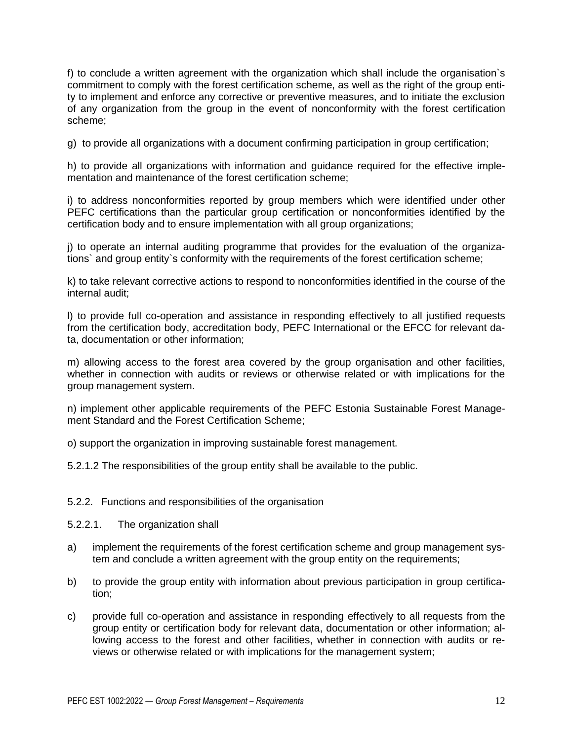f) to conclude a written agreement with the organization which shall include the organisation`s commitment to comply with the forest certification scheme, as well as the right of the group entity to implement and enforce any corrective or preventive measures, and to initiate the exclusion of any organization from the group in the event of nonconformity with the forest certification scheme;

g) to provide all organizations with a document confirming participation in group certification;

h) to provide all organizations with information and guidance required for the effective implementation and maintenance of the forest certification scheme;

i) to address nonconformities reported by group members which were identified under other PEFC certifications than the particular group certification or nonconformities identified by the certification body and to ensure implementation with all group organizations;

j) to operate an internal auditing programme that provides for the evaluation of the organizations` and group entity`s conformity with the requirements of the forest certification scheme;

k) to take relevant corrective actions to respond to nonconformities identified in the course of the internal audit;

l) to provide full co-operation and assistance in responding effectively to all justified requests from the certification body, accreditation body, PEFC International or the EFCC for relevant data, documentation or other information;

m) allowing access to the forest area covered by the group organisation and other facilities, whether in connection with audits or reviews or otherwise related or with implications for the group management system.

n) implement other applicable requirements of the PEFC Estonia Sustainable Forest Management Standard and the Forest Certification Scheme;

- o) support the organization in improving sustainable forest management.
- 5.2.1.2 The responsibilities of the group entity shall be available to the public.
- 5.2.2. Functions and responsibilities of the organisation
- 5.2.2.1. The organization shall
- a) implement the requirements of the forest certification scheme and group management system and conclude a written agreement with the group entity on the requirements;
- b) to provide the group entity with information about previous participation in group certification;
- c) provide full co-operation and assistance in responding effectively to all requests from the group entity or certification body for relevant data, documentation or other information; allowing access to the forest and other facilities, whether in connection with audits or reviews or otherwise related or with implications for the management system;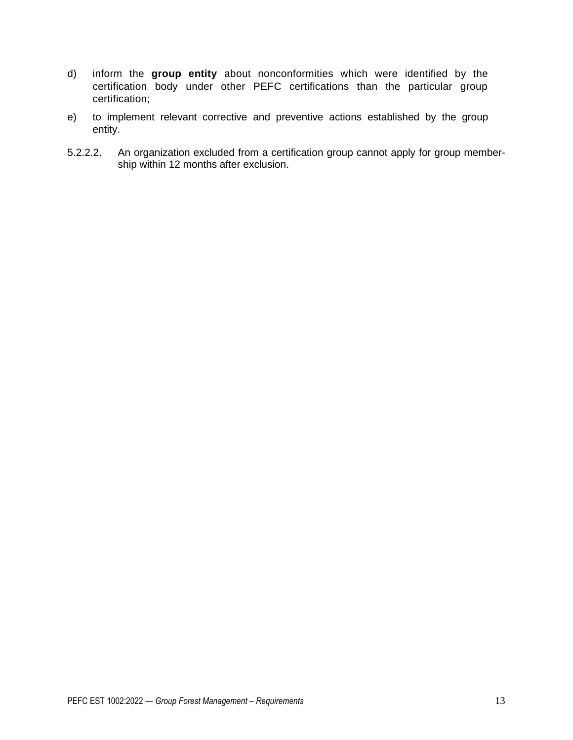- d) inform the **group entity** about nonconformities which were identified by the certification body under other PEFC certifications than the particular group certification;
- e) to implement relevant corrective and preventive actions established by the group entity.
- 5.2.2.2. An organization excluded from a certification group cannot apply for group membership within 12 months after exclusion.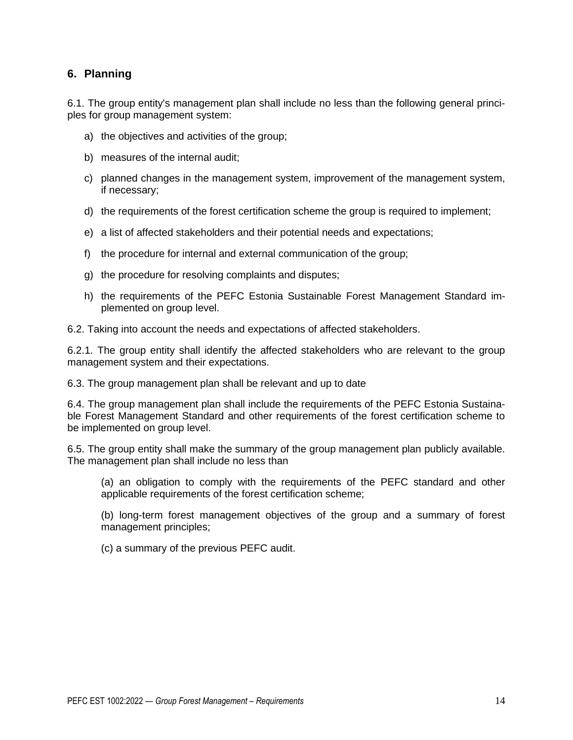# **6. Planning**

6.1. The group entity's management plan shall include no less than the following general principles for group management system:

- a) the objectives and activities of the group;
- b) measures of the internal audit;
- c) planned changes in the management system, improvement of the management system, if necessary;
- d) the requirements of the forest certification scheme the group is required to implement;
- e) a list of affected stakeholders and their potential needs and expectations;
- f) the procedure for internal and external communication of the group;
- g) the procedure for resolving complaints and disputes;
- h) the requirements of the PEFC Estonia Sustainable Forest Management Standard implemented on group level.

6.2. Taking into account the needs and expectations of affected stakeholders.

6.2.1. The group entity shall identify the affected stakeholders who are relevant to the group management system and their expectations.

6.3. The group management plan shall be relevant and up to date

6.4. The group management plan shall include the requirements of the PEFC Estonia Sustainable Forest Management Standard and other requirements of the forest certification scheme to be implemented on group level.

6.5. The group entity shall make the summary of the group management plan publicly available. The management plan shall include no less than

(a) an obligation to comply with the requirements of the PEFC standard and other applicable requirements of the forest certification scheme;

(b) long-term forest management objectives of the group and a summary of forest management principles;

(c) a summary of the previous PEFC audit.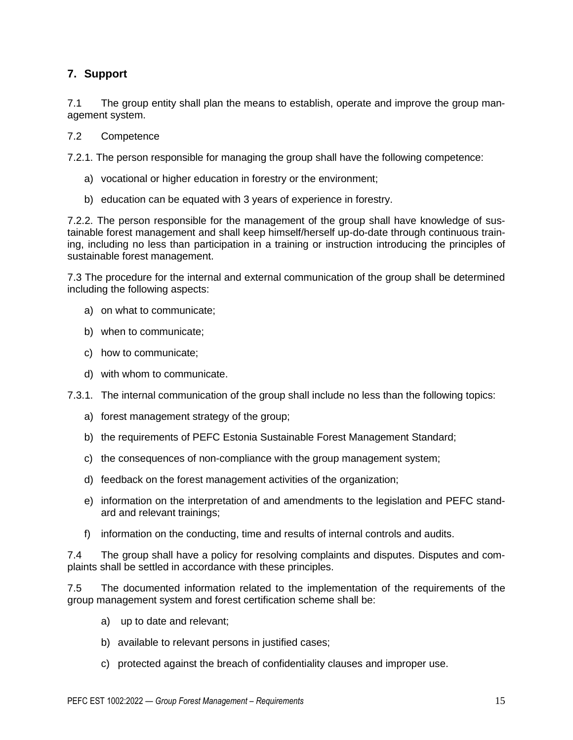# **7. Support**

7.1 The group entity shall plan the means to establish, operate and improve the group management system.

#### 7.2 Competence

7.2.1. The person responsible for managing the group shall have the following competence:

- a) vocational or higher education in forestry or the environment;
- b) education can be equated with 3 years of experience in forestry.

7.2.2. The person responsible for the management of the group shall have knowledge of sustainable forest management and shall keep himself/herself up-do-date through continuous training, including no less than participation in a training or instruction introducing the principles of sustainable forest management.

7.3 The procedure for the internal and external communication of the group shall be determined including the following aspects:

- a) on what to communicate;
- b) when to communicate;
- c) how to communicate;
- d) with whom to communicate.

7.3.1. The internal communication of the group shall include no less than the following topics:

- a) forest management strategy of the group;
- b) the requirements of PEFC Estonia Sustainable Forest Management Standard;
- c) the consequences of non-compliance with the group management system;
- d) feedback on the forest management activities of the organization;
- e) information on the interpretation of and amendments to the legislation and PEFC standard and relevant trainings;
- f) information on the conducting, time and results of internal controls and audits.

7.4 The group shall have a policy for resolving complaints and disputes. Disputes and complaints shall be settled in accordance with these principles.

7.5 The documented information related to the implementation of the requirements of the group management system and forest certification scheme shall be:

- a) up to date and relevant;
- b) available to relevant persons in justified cases;
- c) protected against the breach of confidentiality clauses and improper use.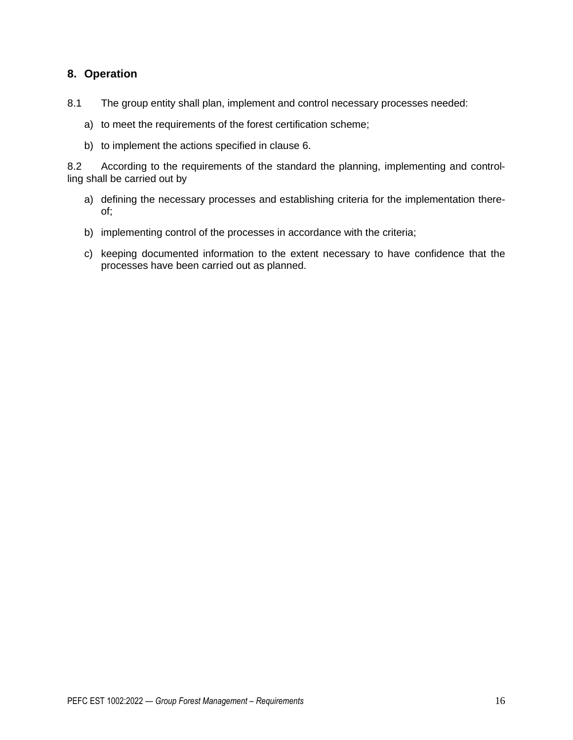# **8. Operation**

- 8.1 The group entity shall plan, implement and control necessary processes needed:
	- a) to meet the requirements of the forest certification scheme;
	- b) to implement the actions specified in clause 6.

8.2 According to the requirements of the standard the planning, implementing and controlling shall be carried out by

- a) defining the necessary processes and establishing criteria for the implementation thereof;
- b) implementing control of the processes in accordance with the criteria;
- c) keeping documented information to the extent necessary to have confidence that the processes have been carried out as planned.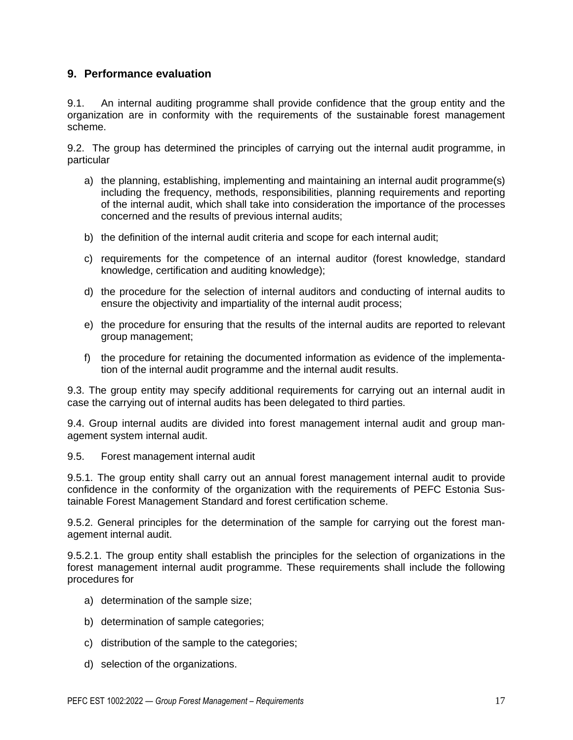# **9. Performance evaluation**

9.1. An internal auditing programme shall provide confidence that the group entity and the organization are in conformity with the requirements of the sustainable forest management scheme.

9.2. The group has determined the principles of carrying out the internal audit programme, in particular

- a) the planning, establishing, implementing and maintaining an internal audit programme(s) including the frequency, methods, responsibilities, planning requirements and reporting of the internal audit, which shall take into consideration the importance of the processes concerned and the results of previous internal audits;
- b) the definition of the internal audit criteria and scope for each internal audit;
- c) requirements for the competence of an internal auditor (forest knowledge, standard knowledge, certification and auditing knowledge);
- d) the procedure for the selection of internal auditors and conducting of internal audits to ensure the objectivity and impartiality of the internal audit process;
- e) the procedure for ensuring that the results of the internal audits are reported to relevant group management;
- f) the procedure for retaining the documented information as evidence of the implementation of the internal audit programme and the internal audit results.

9.3. The group entity may specify additional requirements for carrying out an internal audit in case the carrying out of internal audits has been delegated to third parties.

9.4. Group internal audits are divided into forest management internal audit and group management system internal audit.

9.5. Forest management internal audit

9.5.1. The group entity shall carry out an annual forest management internal audit to provide confidence in the conformity of the organization with the requirements of PEFC Estonia Sustainable Forest Management Standard and forest certification scheme.

9.5.2. General principles for the determination of the sample for carrying out the forest management internal audit.

9.5.2.1. The group entity shall establish the principles for the selection of organizations in the forest management internal audit programme. These requirements shall include the following procedures for

- a) determination of the sample size;
- b) determination of sample categories;
- c) distribution of the sample to the categories;
- d) selection of the organizations.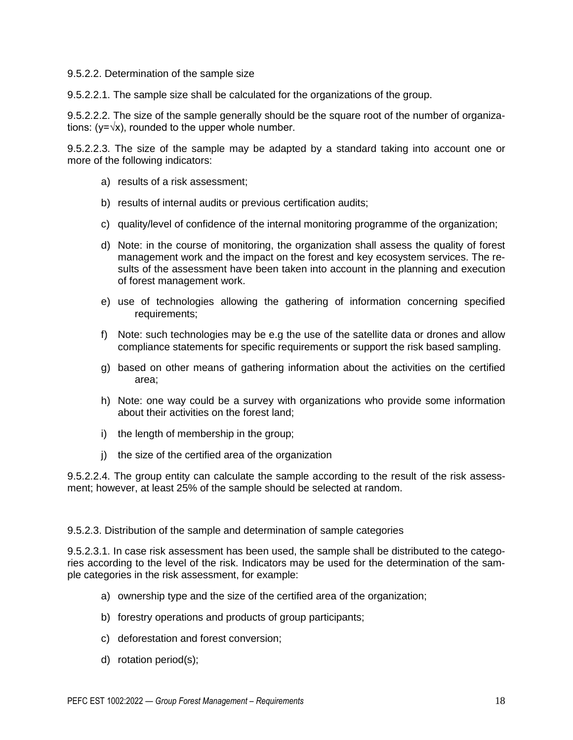9.5.2.2. Determination of the sample size

9.5.2.2.1. The sample size shall be calculated for the organizations of the group.

9.5.2.2.2. The size of the sample generally should be the square root of the number of organizations:  $(y=\sqrt{x})$ , rounded to the upper whole number.

9.5.2.2.3. The size of the sample may be adapted by a standard taking into account one or more of the following indicators:

- a) results of a risk assessment;
- b) results of internal audits or previous certification audits;
- c) quality/level of confidence of the internal monitoring programme of the organization;
- d) Note: in the course of monitoring, the organization shall assess the quality of forest management work and the impact on the forest and key ecosystem services. The results of the assessment have been taken into account in the planning and execution of forest management work.
- e) use of technologies allowing the gathering of information concerning specified requirements;
- f) Note: such technologies may be e.g the use of the satellite data or drones and allow compliance statements for specific requirements or support the risk based sampling.
- g) based on other means of gathering information about the activities on the certified area;
- h) Note: one way could be a survey with organizations who provide some information about their activities on the forest land;
- i) the length of membership in the group;
- j) the size of the certified area of the organization

9.5.2.2.4. The group entity can calculate the sample according to the result of the risk assessment; however, at least 25% of the sample should be selected at random.

9.5.2.3. Distribution of the sample and determination of sample categories

9.5.2.3.1. In case risk assessment has been used, the sample shall be distributed to the categories according to the level of the risk. Indicators may be used for the determination of the sample categories in the risk assessment, for example:

- a) ownership type and the size of the certified area of the organization;
- b) forestry operations and products of group participants;
- c) deforestation and forest conversion;
- d) rotation period(s);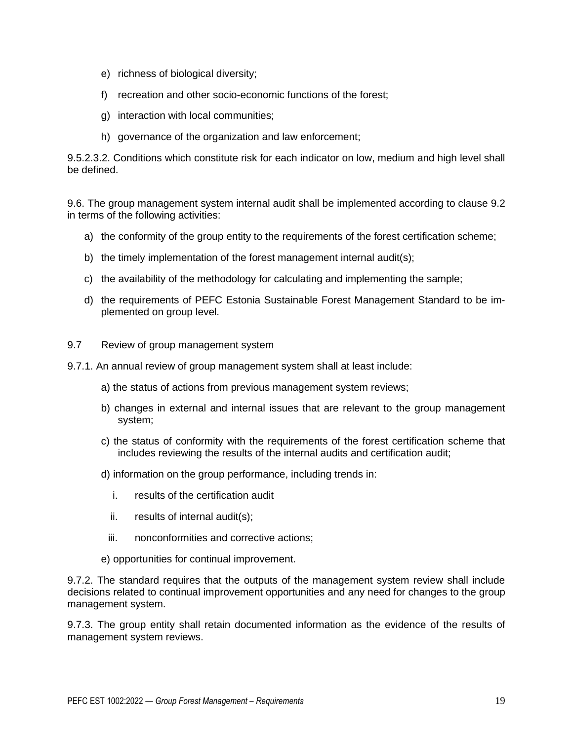- e) richness of biological diversity;
- f) recreation and other socio-economic functions of the forest;
- g) interaction with local communities;
- h) governance of the organization and law enforcement;

9.5.2.3.2. Conditions which constitute risk for each indicator on low, medium and high level shall be defined.

9.6. The group management system internal audit shall be implemented according to clause 9.2 in terms of the following activities:

- a) the conformity of the group entity to the requirements of the forest certification scheme;
- b) the timely implementation of the forest management internal audit(s);
- c) the availability of the methodology for calculating and implementing the sample;
- d) the requirements of PEFC Estonia Sustainable Forest Management Standard to be implemented on group level.
- 9.7 Review of group management system
- 9.7.1. An annual review of group management system shall at least include:
	- a) the status of actions from previous management system reviews;
	- b) changes in external and internal issues that are relevant to the group management system;
	- c) the status of conformity with the requirements of the forest certification scheme that includes reviewing the results of the internal audits and certification audit;
	- d) information on the group performance, including trends in:
		- i. results of the certification audit
		- ii. results of internal audit(s);
		- iii. nonconformities and corrective actions;
	- e) opportunities for continual improvement.

9.7.2. The standard requires that the outputs of the management system review shall include decisions related to continual improvement opportunities and any need for changes to the group management system.

9.7.3. The group entity shall retain documented information as the evidence of the results of management system reviews.